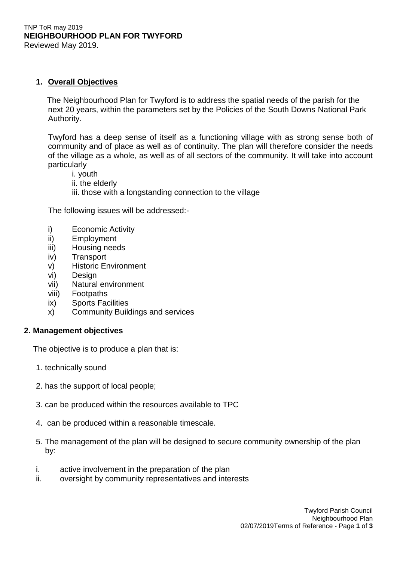#### TNP ToR may 2019 **NEIGHBOURHOOD PLAN FOR TWYFORD** Reviewed May 2019.

# **1. Overall Objectives**

 The Neighbourhood Plan for Twyford is to address the spatial needs of the parish for the next 20 years, within the parameters set by the Policies of the South Downs National Park Authority.

Twyford has a deep sense of itself as a functioning village with as strong sense both of community and of place as well as of continuity. The plan will therefore consider the needs of the village as a whole, as well as of all sectors of the community. It will take into account particularly

- i. youth
- ii. the elderly
- iii. those with a longstanding connection to the village

The following issues will be addressed:-

- i) Economic Activity
- ii) Employment
- iii) Housing needs
- iv) Transport
- v) Historic Environment
- vi) Design
- vii) Natural environment
- viii) Footpaths
- ix) Sports Facilities
- x) Community Buildings and services

# **2. Management objectives**

The objective is to produce a plan that is:

- 1. technically sound
- 2. has the support of local people;
- 3. can be produced within the resources available to TPC
- 4. can be produced within a reasonable timescale.
- 5. The management of the plan will be designed to secure community ownership of the plan by:
- i. active involvement in the preparation of the plan
- ii. oversight by community representatives and interests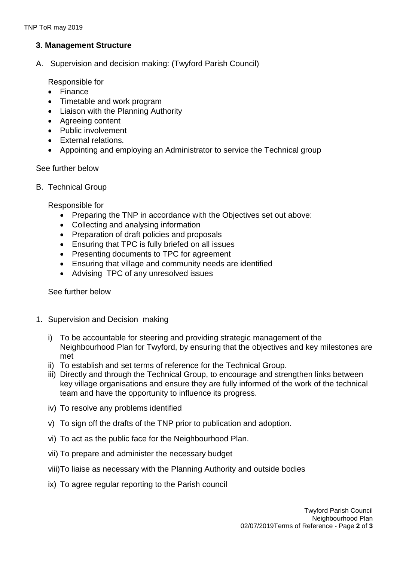# **3**. **Management Structure**

A. Supervision and decision making: (Twyford Parish Council)

Responsible for

- Finance
- Timetable and work program
- Liaison with the Planning Authority
- Agreeing content
- Public involvement
- External relations.
- Appointing and employing an Administrator to service the Technical group

### See further below

B. Technical Group

Responsible for

- Preparing the TNP in accordance with the Objectives set out above:
- Collecting and analysing information
- Preparation of draft policies and proposals
- Ensuring that TPC is fully briefed on all issues
- Presenting documents to TPC for agreement
- Ensuring that village and community needs are identified
- Advising TPC of any unresolved issues

See further below

- 1. Supervision and Decision making
	- i) To be accountable for steering and providing strategic management of the Neighbourhood Plan for Twyford, by ensuring that the objectives and key milestones are met
	- ii) To establish and set terms of reference for the Technical Group.
	- iii) Directly and through the Technical Group, to encourage and strengthen links between key village organisations and ensure they are fully informed of the work of the technical team and have the opportunity to influence its progress.
	- iv) To resolve any problems identified
	- v) To sign off the drafts of the TNP prior to publication and adoption.
	- vi) To act as the public face for the Neighbourhood Plan.
	- vii) To prepare and administer the necessary budget
	- viii)To liaise as necessary with the Planning Authority and outside bodies
	- ix) To agree regular reporting to the Parish council